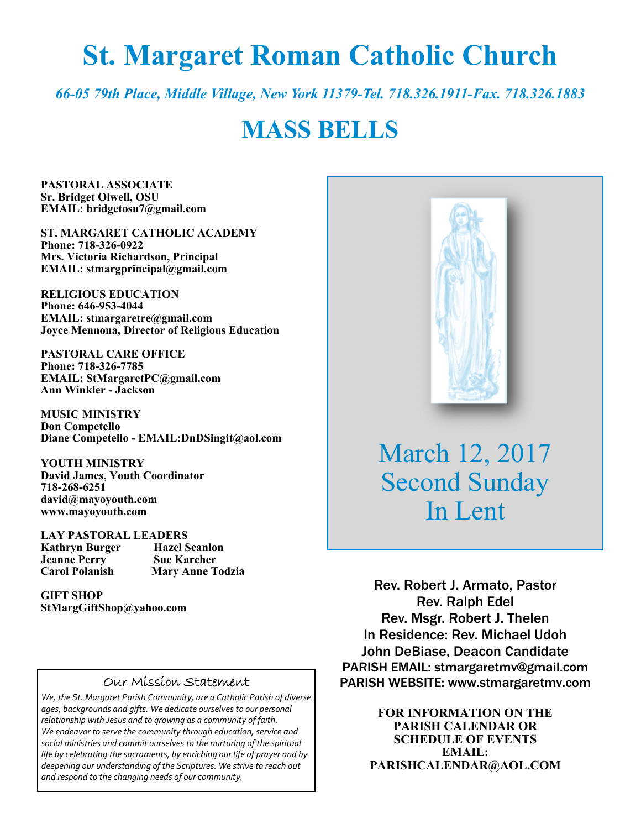# **St. Margaret Roman Catholic Church**

*66-05 79th Place, Middle Village, New York 11379-Tel. 718.326.1911-Fax. 718.326.1883* 

## **MASS BELLS**

**PASTORAL ASSOCIATE Sr. Bridget Olwell, OSU EMAIL: bridgetosu7@gmail.com** 

**ST. MARGARET CATHOLIC ACADEMY Phone: 718-326-0922 Mrs. Victoria Richardson, Principal EMAIL: stmargprincipal@gmail.com** 

**RELIGIOUS EDUCATION Phone: 646-953-4044 EMAIL: stmargaretre@gmail.com Joyce Mennona, Director of Religious Education** 

**PASTORAL CARE OFFICE Phone: 718-326-7785 EMAIL: StMargaretPC@gmail.com Ann Winkler - Jackson** 

**MUSIC MINISTRY Don Competello Diane Competello - EMAIL:DnDSingit@aol.com** 

**YOUTH MINISTRY David James, Youth Coordinator 718-268-6251 david@mayoyouth.com www.mayoyouth.com** 

**LAY PASTORAL LEADERS Kathryn Burger Hazel Scanlon Jeanne Perry Carol Polanish Mary Anne Todzia** 

**GIFT SHOP StMargGiftShop@yahoo.com**

#### Our Mission Statement

*We, the St. Margaret Parish Community, are a Catholic Parish of diverse ages, backgrounds and gifts. We dedicate ourselves to our personal relationship with Jesus and to growing as a community of faith. We endeavor to serve the community through education, service and social ministries and commit ourselves to the nurturing of the spiritual life by celebrating the sacraments, by enriching our life of prayer and by deepening our understanding of the Scriptures. We strive to reach out and respond to the changing needs of our community.*



March 12, 2017 Second Sunday In Lent

Rev. Robert J. Armato, Pastor Rev. Ralph Edel Rev. Msgr. Robert J. Thelen In Residence: Rev. Michael Udoh John DeBiase, Deacon Candidate PARISH EMAIL: stmargaretmv@gmail.com PARISH WEBSITE: www.stmargaretmv.com

> **FOR INFORMATION ON THE PARISH CALENDAR OR SCHEDULE OF EVENTS EMAIL: PARISHCALENDAR@AOL.COM**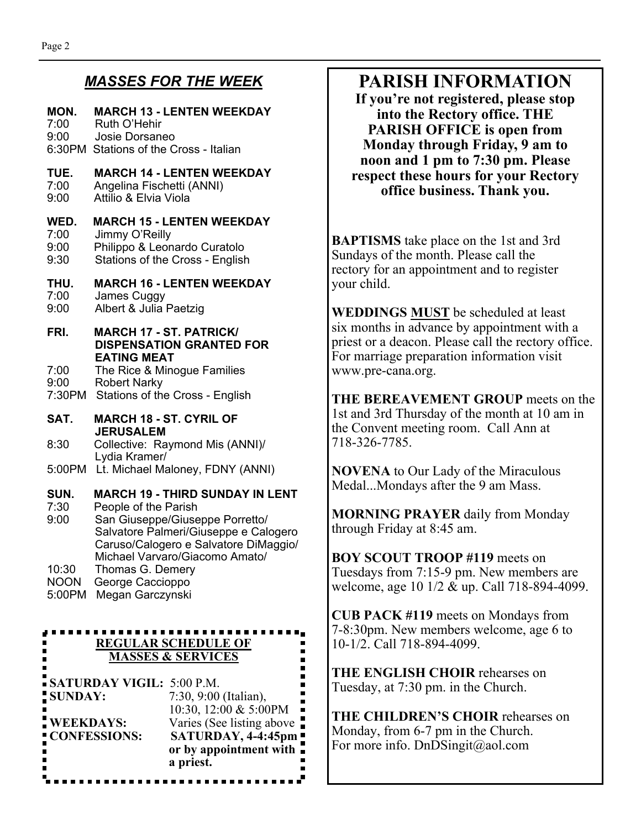### *MASSES FOR THE WEEK*

### **MON. MARCH 13 - LENTEN WEEKDAY**  7:00 Ruth O'Hehir 9:00 Josie Dorsaneo 6:30PM Stations of the Cross - Italian **TUE. MARCH 14 - LENTEN WEEKDAY**  7:00 Angelina Fischetti (ANNI) Attilio & Elvia Viola **WED. MARCH 15 - LENTEN WEEKDAY**  7:00 Jimmy O'Reilly 9:00 Philippo & Leonardo Curatolo 9:30 Stations of the Cross - English **THU. MARCH 16 - LENTEN WEEKDAY**  7:00 James Cuggy Albert & Julia Paetzig **FRI. MARCH 17 - ST. PATRICK/ DISPENSATION GRANTED FOR EATING MEAT**  7:00 The Rice & Minogue Families 9:00 Robert Narky 7:30PM Stations of the Cross - English **SAT. MARCH 18 - ST. CYRIL OF JERUSALEM**  8:30 Collective: Raymond Mis (ANNI)/ Lydia Kramer/ 5:00PM Lt. Michael Maloney, FDNY (ANNI) **SUN. MARCH 19 - THIRD SUNDAY IN LENT**  7:30 People of the Parish 9:00 San Giuseppe/Giuseppe Porretto/ Salvatore Palmeri/Giuseppe e Calogero Caruso/Calogero e Salvatore DiMaggio/ Michael Varvaro/Giacomo Amato/ 10:30 Thomas G. Demery

NOON George Caccioppo

5:00PM Megan Garczynski

#### ---------------**REGULAR SCHEDULE OF MASSES & SERVICES**

**SATURDAY VIGIL:** 5:00 P.M. **SUNDAY:** 7:30, 9:00 (Italian), 10:30, 12:00 & 5:00PM **WEEKDAYS:** Varies (See listing above **CONFESSIONS: SATURDAY, 4-4:45pm or by appointment with a priest.**

### **PARISH INFORMATION**

**If you're not registered, please stop into the Rectory office. THE PARISH OFFICE is open from Monday through Friday, 9 am to noon and 1 pm to 7:30 pm. Please respect these hours for your Rectory office business. Thank you.** 

**BAPTISMS** take place on the 1st and 3rd Sundays of the month. Please call the rectory for an appointment and to register your child.

**WEDDINGS MUST** be scheduled at least six months in advance by appointment with a priest or a deacon. Please call the rectory office. For marriage preparation information visit www.pre-cana.org.

**THE BEREAVEMENT GROUP** meets on the 1st and 3rd Thursday of the month at 10 am in the Convent meeting room. Call Ann at 718-326-7785.

**NOVENA** to Our Lady of the Miraculous Medal...Mondays after the 9 am Mass.

**MORNING PRAYER** daily from Monday through Friday at 8:45 am.

**BOY SCOUT TROOP #119** meets on Tuesdays from 7:15-9 pm. New members are welcome, age 10 1/2 & up. Call 718-894-4099.

**CUB PACK #119** meets on Mondays from 7-8:30pm. New members welcome, age 6 to 10-1/2. Call 718-894-4099.

**THE ENGLISH CHOIR** rehearses on Tuesday, at 7:30 pm. in the Church.

**THE CHILDREN'S CHOIR** rehearses on Monday, from 6-7 pm in the Church. For more info. DnDSingit@aol.com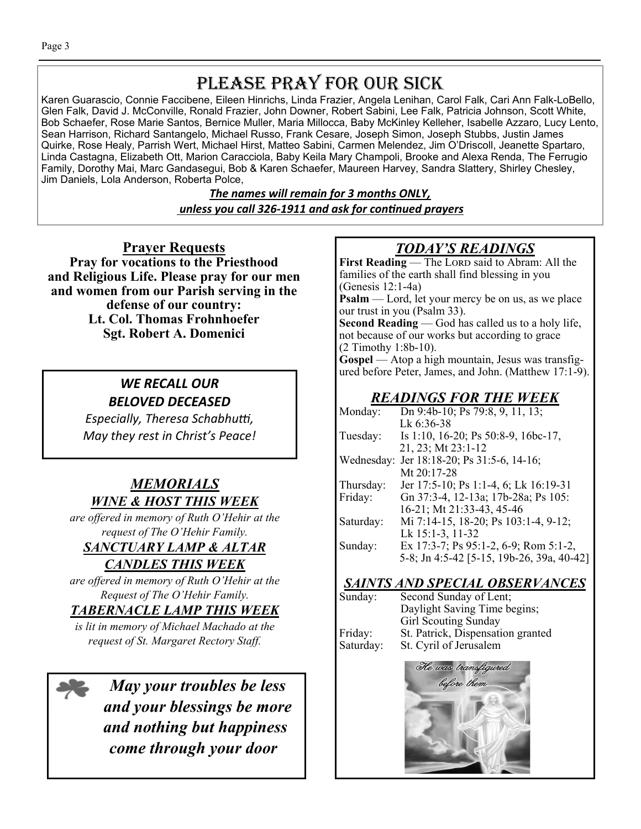## PLEASE PRAY FOR OUR SICK

Karen Guarascio, Connie Faccibene, Eileen Hinrichs, Linda Frazier, Angela Lenihan, Carol Falk, Cari Ann Falk-LoBello, Glen Falk, David J. McConville, Ronald Frazier, John Downer, Robert Sabini, Lee Falk, Patricia Johnson, Scott White, Bob Schaefer, Rose Marie Santos, Bernice Muller, Maria Millocca, Baby McKinley Kelleher, Isabelle Azzaro, Lucy Lento, Sean Harrison, Richard Santangelo, Michael Russo, Frank Cesare, Joseph Simon, Joseph Stubbs, Justin James Quirke, Rose Healy, Parrish Wert, Michael Hirst, Matteo Sabini, Carmen Melendez, Jim O'Driscoll, Jeanette Spartaro, Linda Castagna, Elizabeth Ott, Marion Caracciola, Baby Keila Mary Champoli, Brooke and Alexa Renda, The Ferrugio Family, Dorothy Mai, Marc Gandasegui, Bob & Karen Schaefer, Maureen Harvey, Sandra Slattery, Shirley Chesley, Jim Daniels, Lola Anderson, Roberta Polce,

> *The names will remain for 3 months ONLY, unless you call 326-1911 and ask for conƟnued prayers*

**Prayer Requests Pray for vocations to the Priesthood and Religious Life. Please pray for our men and women from our Parish serving in the defense of our country: Lt. Col. Thomas Frohnhoefer Sgt. Robert A. Domenici** 

### *WE RECALL OUR BELOVED DECEASED*

*Especially, Theresa Schabhuƫ, May they rest in Christ's Peace!* 

### *MEMORIALS WINE & HOST THIS WEEK*

*are offered in memory of Ruth O'Hehir at the request of The O'Hehir Family.* 

*SANCTUARY LAMP & ALTAR* 

*CANDLES THIS WEEK* 

*are offered in memory of Ruth O'Hehir at the Request of The O'Hehir Family.* 

*TABERNACLE LAMP THIS WEEK* 

*is lit in memory of Michael Machado at the request of St. Margaret Rectory Staff.* 

*May your troubles be less and your blessings be more and nothing but happiness come through your door* 

### *TODAY'S READINGS*

First Reading — The LORD said to Abram: All the families of the earth shall find blessing in you (Genesis 12:1-4a) **Psalm** — Lord, let your mercy be on us, as we place our trust in you (Psalm 33). **Second Reading** — God has called us to a holy life, not because of our works but according to grace (2 Timothy 1:8b-10). **Gospel** — Atop a high mountain, Jesus was transfigured before Peter, James, and John. (Matthew 17:1-9).

### *READINGS FOR THE WEEK*

| Monday:    | Dn 9:4b-10; Ps 79:8, 9, 11, 13;           |
|------------|-------------------------------------------|
|            | Lk 6:36-38                                |
| Tuesday:   | Is 1:10, 16-20; Ps 50:8-9, 16bc-17,       |
|            | 21, 23; Mt 23:1-12                        |
| Wednesday: | Jer 18:18-20; Ps 31:5-6, 14-16;           |
|            | Mt 20:17-28                               |
| Thursday:  | Jer 17:5-10; Ps 1:1-4, 6; Lk 16:19-31     |
| Friday:    | Gn 37:3-4, 12-13a; 17b-28a; Ps 105:       |
|            | 16-21; Mt 21:33-43, 45-46                 |
| Saturday:  | Mi 7:14-15, 18-20; Ps 103:1-4, 9-12;      |
|            | Lk 15:1-3, 11-32                          |
| Sunday:    | Ex 17:3-7; Ps 95:1-2, 6-9; Rom 5:1-2,     |
|            | 5-8; Jn 4:5-42 [5-15, 19b-26, 39a, 40-42] |

### *SAINTS AND SPECIAL OBSERVANCES*

| Sunday:   | Second Sunday of Lent;            |
|-----------|-----------------------------------|
|           | Daylight Saving Time begins;      |
|           | <b>Girl Scouting Sunday</b>       |
| Friday:   | St. Patrick, Dispensation granted |
| Saturday: | St. Cyril of Jerusalem            |

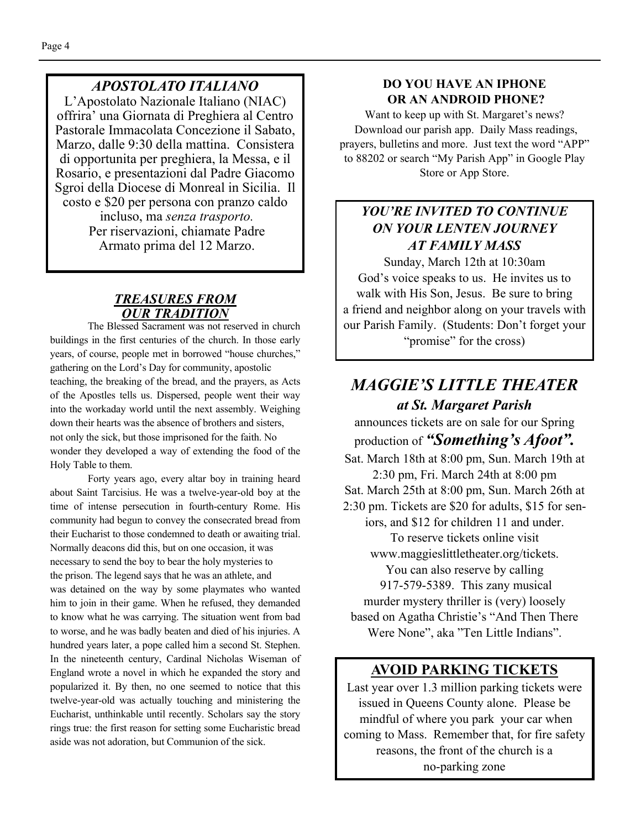### *APOSTOLATO ITALIANO*

L'Apostolato Nazionale Italiano (NIAC) offrira' una Giornata di Preghiera al Centro Pastorale Immacolata Concezione il Sabato, Marzo, dalle 9:30 della mattina. Consistera di opportunita per preghiera, la Messa, e il Rosario, e presentazioni dal Padre Giacomo Sgroi della Diocese di Monreal in Sicilia. Il costo e \$20 per persona con pranzo caldo incluso, ma *senza trasporto.*  Per riservazioni, chiamate Padre Armato prima del 12 Marzo.

#### *TREASURES FROM OUR TRADITION*

The Blessed Sacrament was not reserved in church buildings in the first centuries of the church. In those early years, of course, people met in borrowed "house churches," gathering on the Lord's Day for community, apostolic teaching, the breaking of the bread, and the prayers, as Acts of the Apostles tells us. Dispersed, people went their way into the workaday world until the next assembly. Weighing down their hearts was the absence of brothers and sisters, not only the sick, but those imprisoned for the faith. No wonder they developed a way of extending the food of the Holy Table to them.

 Forty years ago, every altar boy in training heard about Saint Tarcisius. He was a twelve-year-old boy at the time of intense persecution in fourth-century Rome. His community had begun to convey the consecrated bread from their Eucharist to those condemned to death or awaiting trial. Normally deacons did this, but on one occasion, it was necessary to send the boy to bear the holy mysteries to the prison. The legend says that he was an athlete, and was detained on the way by some playmates who wanted him to join in their game. When he refused, they demanded to know what he was carrying. The situation went from bad to worse, and he was badly beaten and died of his injuries. A hundred years later, a pope called him a second St. Stephen. In the nineteenth century, Cardinal Nicholas Wiseman of England wrote a novel in which he expanded the story and popularized it. By then, no one seemed to notice that this twelve-year-old was actually touching and ministering the Eucharist, unthinkable until recently. Scholars say the story rings true: the first reason for setting some Eucharistic bread aside was not adoration, but Communion of the sick.

### **DO YOU HAVE AN IPHONE OR AN ANDROID PHONE?**

Want to keep up with St. Margaret's news? Download our parish app. Daily Mass readings, prayers, bulletins and more. Just text the word "APP" to 88202 or search "My Parish App" in Google Play Store or App Store.

### *YOU'RE INVITED TO CONTINUE ON YOUR LENTEN JOURNEY AT FAMILY MASS*

Sunday, March 12th at 10:30am God's voice speaks to us. He invites us to walk with His Son, Jesus. Be sure to bring a friend and neighbor along on your travels with our Parish Family. (Students: Don't forget your "promise" for the cross)

### *MAGGIE'S LITTLE THEATER at St. Margaret Parish*

announces tickets are on sale for our Spring production of *"Something's Afoot".*  Sat. March 18th at 8:00 pm, Sun. March 19th at 2:30 pm, Fri. March 24th at 8:00 pm Sat. March 25th at 8:00 pm, Sun. March 26th at 2:30 pm. Tickets are \$20 for adults, \$15 for seniors, and \$12 for children 11 and under. To reserve tickets online visit www.maggieslittletheater.org/tickets. You can also reserve by calling 917-579-5389. This zany musical murder mystery thriller is (very) loosely based on Agatha Christie's "And Then There Were None", aka "Ten Little Indians".

### **AVOID PARKING TICKETS**

Last year over 1.3 million parking tickets were issued in Queens County alone. Please be mindful of where you park your car when coming to Mass. Remember that, for fire safety reasons, the front of the church is a no-parking zone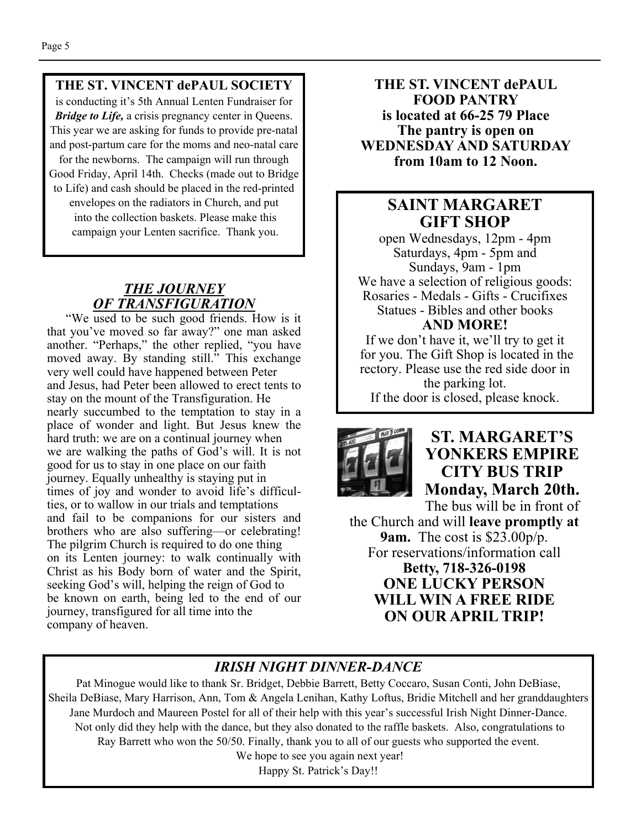#### **THE ST. VINCENT dePAUL SOCIETY**

is conducting it's 5th Annual Lenten Fundraiser for *Bridge to Life, a crisis pregnancy center in Queens.* This year we are asking for funds to provide pre-natal and post-partum care for the moms and neo-natal care for the newborns. The campaign will run through Good Friday, April 14th. Checks (made out to Bridge to Life) and cash should be placed in the red-printed envelopes on the radiators in Church, and put into the collection baskets. Please make this campaign your Lenten sacrifice. Thank you.

### *THE JOURNEY OF TRANSFIGURATION*

"We used to be such good friends. How is it that you've moved so far away?" one man asked another. "Perhaps," the other replied, "you have moved away. By standing still." This exchange very well could have happened between Peter and Jesus, had Peter been allowed to erect tents to stay on the mount of the Transfiguration. He nearly succumbed to the temptation to stay in a place of wonder and light. But Jesus knew the hard truth: we are on a continual journey when we are walking the paths of God's will. It is not good for us to stay in one place on our faith journey. Equally unhealthy is staying put in times of joy and wonder to avoid life's difficulties, or to wallow in our trials and temptations and fail to be companions for our sisters and brothers who are also suffering—or celebrating! The pilgrim Church is required to do one thing on its Lenten journey: to walk continually with Christ as his Body born of water and the Spirit, seeking God's will, helping the reign of God to be known on earth, being led to the end of our journey, transfigured for all time into the company of heaven.

**THE ST. VINCENT dePAUL FOOD PANTRY is located at 66-25 79 Place The pantry is open on WEDNESDAY AND SATURDAY from 10am to 12 Noon.** 

### **SAINT MARGARET GIFT SHOP**

open Wednesdays, 12pm - 4pm Saturdays, 4pm - 5pm and Sundays, 9am - 1pm We have a selection of religious goods: Rosaries - Medals - Gifts - Crucifixes Statues - Bibles and other books **AND MORE!** 

If we don't have it, we'll try to get it for you. The Gift Shop is located in the rectory. Please use the red side door in the parking lot.

If the door is closed, please knock.



### **ST. MARGARET'S YONKERS EMPIRE CITY BUS TRIP Monday, March 20th.**

The bus will be in front of the Church and will **leave promptly at 9am.** The cost is \$23.00p/p. For reservations/information call **Betty, 718-326-0198 ONE LUCKY PERSON WILL WIN A FREE RIDE ON OUR APRIL TRIP!** 

### *IRISH NIGHT DINNER-DANCE*

Pat Minogue would like to thank Sr. Bridget, Debbie Barrett, Betty Coccaro, Susan Conti, John DeBiase, Sheila DeBiase, Mary Harrison, Ann, Tom & Angela Lenihan, Kathy Loftus, Bridie Mitchell and her granddaughters Jane Murdoch and Maureen Postel for all of their help with this year's successful Irish Night Dinner-Dance. Not only did they help with the dance, but they also donated to the raffle baskets. Also, congratulations to Ray Barrett who won the 50/50. Finally, thank you to all of our guests who supported the event. We hope to see you again next year!

Happy St. Patrick's Day!!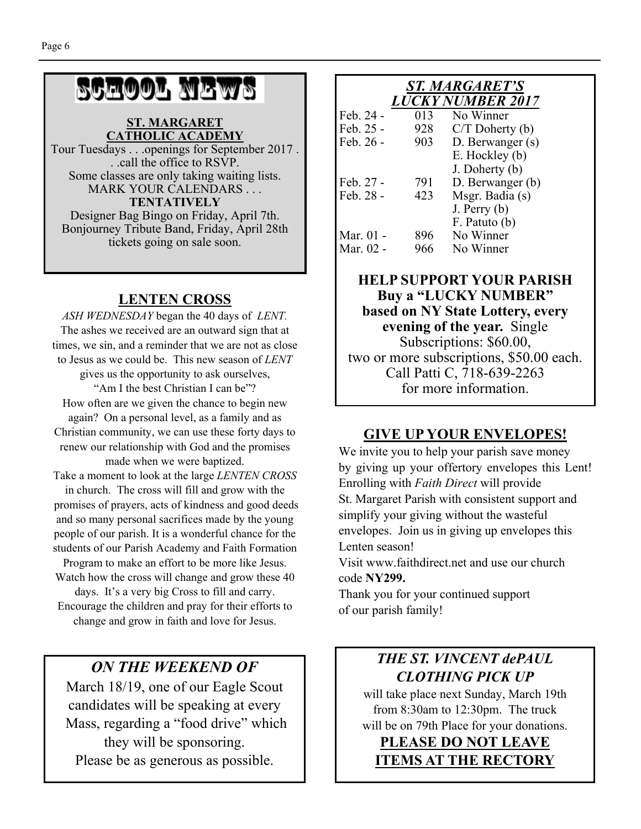# SCHOOL NEWS

#### **ST. MARGARET CATHOLIC ACADEMY**

Tour Tuesdays . . .openings for September 2017 . . .call the office to RSVP. Some classes are only taking waiting lists. MARK YOUR CALENDARS . . . **TENTATIVELY**  Designer Bag Bingo on Friday, April 7th. Bonjourney Tribute Band, Friday, April 28th tickets going on sale soon.

### **LENTEN CROSS**

*ASH WEDNESDAY* began the 40 days of *LENT.*  The ashes we received are an outward sign that at times, we sin, and a reminder that we are not as close to Jesus as we could be. This new season of *LENT*  gives us the opportunity to ask ourselves, "Am I the best Christian I can be"? How often are we given the chance to begin new again? On a personal level, as a family and as Christian community, we can use these forty days to renew our relationship with God and the promises made when we were baptized. Take a moment to look at the large *LENTEN CROSS* in church. The cross will fill and grow with the promises of prayers, acts of kindness and good deeds and so many personal sacrifices made by the young

people of our parish. It is a wonderful chance for the students of our Parish Academy and Faith Formation Program to make an effort to be more like Jesus.

Watch how the cross will change and grow these 40 days. It's a very big Cross to fill and carry. Encourage the children and pray for their efforts to change and grow in faith and love for Jesus.

### *ON THE WEEKEND OF*

March 18/19, one of our Eagle Scout candidates will be speaking at every Mass, regarding a "food drive" which they will be sponsoring. Please be as generous as possible.

### *ST. MARGARET'S LUCKY NUMBER 2017*

| Feb. 24 - | 013 | No Winner         |
|-----------|-----|-------------------|
| Feb. 25 - | 928 | $C/T$ Doherty (b) |
| Feb. 26 - | 903 | D. Berwanger (s)  |
|           |     | E. Hockley (b)    |
|           |     | J. Doherty (b)    |
| Feb. 27 - | 791 | D. Berwanger (b)  |
| Feb. 28 - | 423 | Msgr. Badia (s)   |
|           |     | $J.$ Perry $(b)$  |
|           |     | F. Patuto (b)     |
| Mar. 01 - | 896 | No Winner         |
| Mar. 02 - | 966 | No Winner         |

### **HELP SUPPORT YOUR PARISH Buy a "LUCKY NUMBER" based on NY State Lottery, every evening of the year.** Single Subscriptions: \$60.00, two or more subscriptions, \$50.00 each. Call Patti C, 718-639-2263 for more information.

### **GIVE UP YOUR ENVELOPES!**

We invite you to help your parish save money by giving up your offertory envelopes this Lent! Enrolling with *Faith Direct* will provide St. Margaret Parish with consistent support and simplify your giving without the wasteful envelopes. Join us in giving up envelopes this Lenten season!

Visit www.faithdirect.net and use our church code **NY299.** 

Thank you for your continued support of our parish family!

### *THE ST. VINCENT dePAUL CLOTHING PICK UP*

will take place next Sunday, March 19th from 8:30am to 12:30pm. The truck will be on 79th Place for your donations.

**PLEASE DO NOT LEAVE ITEMS AT THE RECTORY**